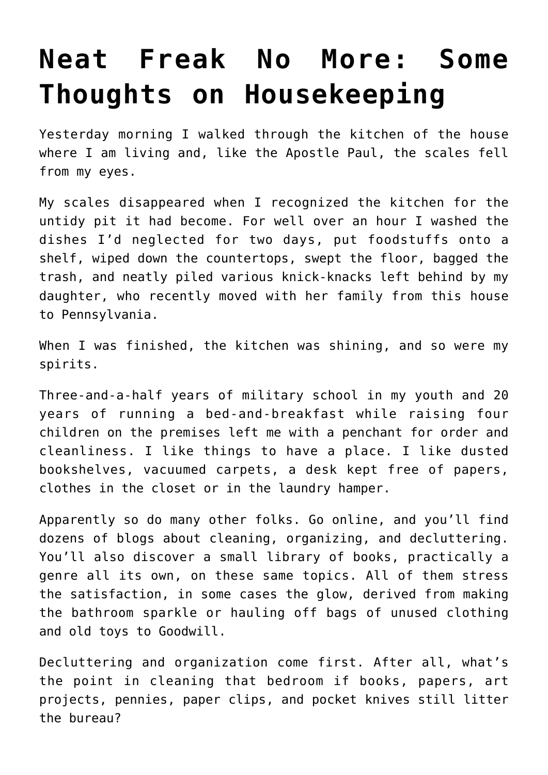## **[Neat Freak No More: Some](https://intellectualtakeout.org/2019/09/neat-freak-no-more-some-thoughts-on-housekeeping/) [Thoughts on Housekeeping](https://intellectualtakeout.org/2019/09/neat-freak-no-more-some-thoughts-on-housekeeping/)**

Yesterday morning I walked through the kitchen of the house where I am living and, like the Apostle Paul, the scales fell from my eyes.

My scales disappeared when I recognized the kitchen for the untidy pit it had become. For well over an hour I washed the dishes I'd neglected for two days, put foodstuffs onto a shelf, wiped down the countertops, swept the floor, bagged the trash, and neatly piled various knick-knacks left behind by my daughter, who recently moved with her family from this house to Pennsylvania.

When I was finished, the kitchen was shining, and so were my spirits.

Three-and-a-half years of military school in my youth and 20 years of running a bed-and-breakfast while raising four children on the premises left me with a penchant for order and cleanliness. I like things to have a place. I like dusted bookshelves, vacuumed carpets, a desk kept free of papers, clothes in the closet or in the laundry hamper.

Apparently so do many other folks. Go online, and you'll find dozens of blogs about cleaning, organizing, and decluttering. You'll also discover a small library of books, practically a genre all its own, on these same topics. All of them stress the satisfaction, in some cases the glow, derived from making the bathroom sparkle or hauling off bags of unused clothing and old toys to Goodwill.

Decluttering and organization come first. After all, what's the point in cleaning that bedroom if books, papers, art projects, pennies, paper clips, and pocket knives still litter the bureau?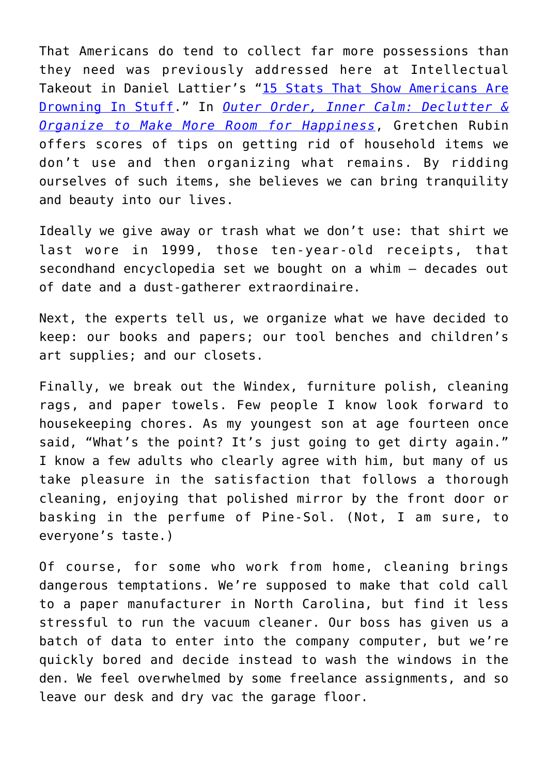That Americans do tend to collect far more possessions than they need was previously addressed here at Intellectual Takeout in Daniel Lattier's "[15 Stats That Show Americans Are](https://www.intellectualtakeout.org/blog/15-stats-show-americans-are-drowning-stuff) [Drowning In Stuff](https://www.intellectualtakeout.org/blog/15-stats-show-americans-are-drowning-stuff)." In *[Outer Order, Inner Calm: Declutter &](https://www.amazon.com/Outer-Order-Inner-Calm-Declutter/dp/1984822802) [Organize to Make More Room for Happiness](https://www.amazon.com/Outer-Order-Inner-Calm-Declutter/dp/1984822802)*, Gretchen Rubin offers scores of tips on getting rid of household items we don't use and then organizing what remains. By ridding ourselves of such items, she believes we can bring tranquility and beauty into our lives.

Ideally we give away or trash what we don't use: that shirt we last wore in 1999, those ten-year-old receipts, that secondhand encyclopedia set we bought on a whim – decades out of date and a dust-gatherer extraordinaire.

Next, the experts tell us, we organize what we have decided to keep: our books and papers; our tool benches and children's art supplies; and our closets.

Finally, we break out the Windex, furniture polish, cleaning rags, and paper towels. Few people I know look forward to housekeeping chores. As my youngest son at age fourteen once said, "What's the point? It's just going to get dirty again." I know a few adults who clearly agree with him, but many of us take pleasure in the satisfaction that follows a thorough cleaning, enjoying that polished mirror by the front door or basking in the perfume of Pine-Sol. (Not, I am sure, to everyone's taste.)

Of course, for some who work from home, cleaning brings dangerous temptations. We're supposed to make that cold call to a paper manufacturer in North Carolina, but find it less stressful to run the vacuum cleaner. Our boss has given us a batch of data to enter into the company computer, but we're quickly bored and decide instead to wash the windows in the den. We feel overwhelmed by some freelance assignments, and so leave our desk and dry vac the garage floor.